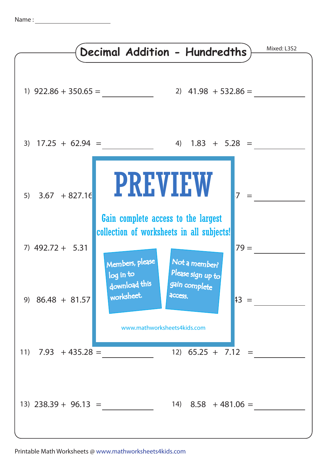